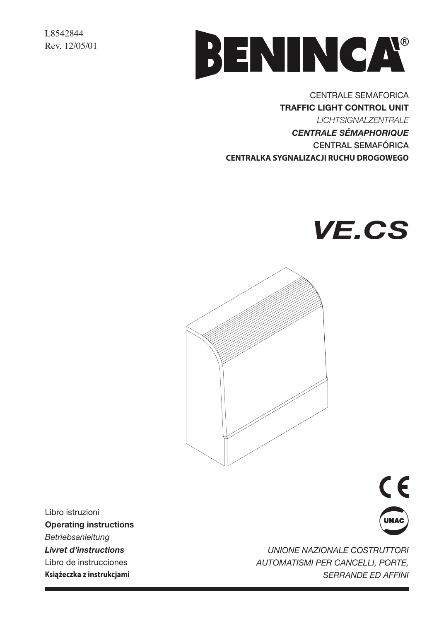L8542844 Rev. 12/05/01



**CENTRALE SEMAFORICA TRAFFIC LIGHT CONTROL UNIT LICHTSIGNALZENTRALE CENTRALE SÉMAPHORIQUE CENTRAL SEMAFÓRICA** CENTRALKA SYGNALIZACJI RUCHU DROGOWEGO





Libro istruzioni **Operating instructions** Betriebsanleitung **Livret d'instructions** Libro de instrucciones Książeczka z instrukcjami



**UNIONE NAZIONALE COSTRUTTORI** AUTOMATISMI PER CANCELLI, PORTE, **SERRANDE ED AFFINI**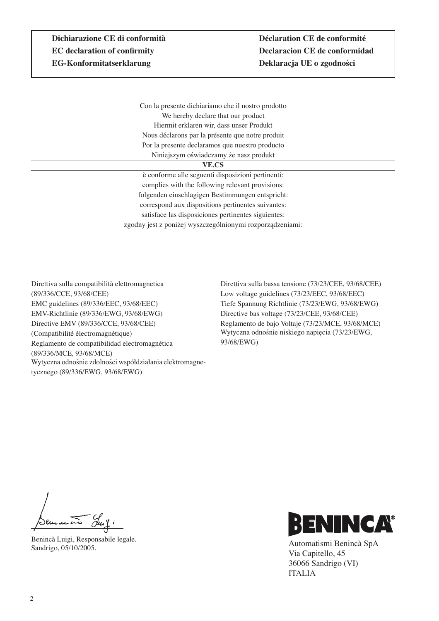Con la presente dichiariamo che il nostro prodotto We hereby declare that our product Hiermit erklaren wir, dass unser Produkt Nous déclarons par la présente que notre produit Por la presente declaramos que nuestro producto Niniejszym oświadczamy że nasz produkt

#### **VE.CS**

è conforme alle seguenti disposizioni pertinenti: complies with the following relevant provisions: folgenden einschlagigen Bestimmungen entspricht: correspond aux dispositions pertinentes suivantes: satisface las disposiciones pertinentes siguientes: zgodny jest z poniżej wyszczególnionymi rozporządzeniami:

Direttiva sulla compatibilità elettromagnetica (89/336/CCE, 93/68/CEE) EMC guidelines (89/336/EEC, 93/68/EEC) EMV-Richtlinie (89/336/EWG, 93/68/EWG) Directive EMV (89/336/CCE, 93/68/CEE) (Compatibilité électromagnétique) Reglamento de compatibilidad electromagnética (89/336/MCE, 93/68/MCE) Wytyczna odnośnie zdolności współdziałania elektromagnetycznego (89/336/EWG, 93/68/EWG)

Direttiva sulla bassa tensione (73/23/CEE, 93/68/CEE) Low voltage guidelines (73/23/EEC, 93/68/EEC) Tiefe Spannung Richtlinie (73/23/EWG, 93/68/EWG) Directive bas voltage (73/23/CEE, 93/68/CEE) Reglamento de bajo Voltaje (73/23/MCE, 93/68/MCE) Wytyczna odnośnie niskiego napięcia (73/23/EWG, 93/68/EWG)

Seminato Suit!

Benincà Luigi, Responsabile legale. Sandrigo, 05/10/2005.



Automatismi Benincà SpA Via Capitello, 45 36066 Sandrigo (VI) ITALIA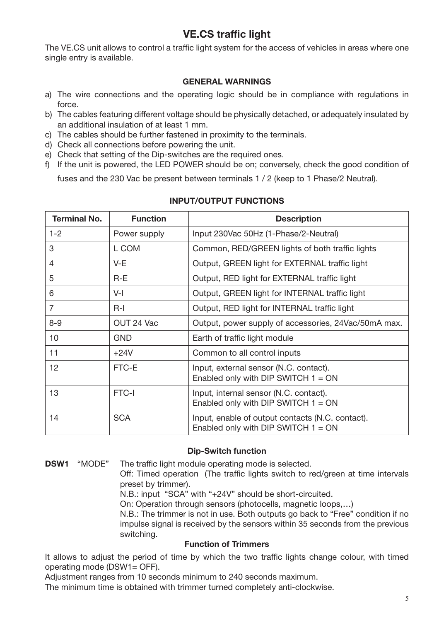# **VE.CS traffic light**

The VE.CS unit allows to control a traffic light system for the access of vehicles in areas where one single entry is available.

# **GENERAL WARNINGS**

- a) The wire connections and the operating logic should be in compliance with regulations in force.
- b) The cables featuring different voltage should be physically detached, or adequately insulated by an additional insulation of at least 1 mm.
- c) The cables should be further fastened in proximity to the terminals.
- d) Check all connections before powering the unit.
- e) Check that setting of the Dip-switches are the required ones.
- f) If the unit is powered, the LED POWER should be on; conversely, check the good condition of

fuses and the 230 Vac be present between terminals 1 / 2 (keep to 1 Phase/2 Neutral).

| <b>Terminal No.</b> | <b>Function</b> | <b>Description</b>                                                                        |
|---------------------|-----------------|-------------------------------------------------------------------------------------------|
| $1 - 2$             | Power supply    | Input 230Vac 50Hz (1-Phase/2-Neutral)                                                     |
| 3                   | L COM           | Common, RED/GREEN lights of both traffic lights                                           |
| 4                   | $V-E$           | Output, GREEN light for EXTERNAL traffic light                                            |
| 5                   | $R-E$           | Output, RED light for EXTERNAL traffic light                                              |
| 6                   | $V-I$           | Output, GREEN light for INTERNAL traffic light                                            |
| $\overline{7}$      | $R-I$           | Output, RED light for INTERNAL traffic light                                              |
| $8 - 9$             | OUT 24 Vac      | Output, power supply of accessories, 24Vac/50mA max.                                      |
| 10                  | <b>GND</b>      | Earth of traffic light module                                                             |
| 11                  | $+24V$          | Common to all control inputs                                                              |
| 12                  | FTC-E           | Input, external sensor (N.C. contact).<br>Enabled only with DIP SWITCH $1 = ON$           |
| 13                  | FTC-I           | Input, internal sensor (N.C. contact).<br>Enabled only with DIP SWITCH $1 = ON$           |
| 14                  | <b>SCA</b>      | Input, enable of output contacts (N.C. contact).<br>Enabled only with DIP SWITCH $1 = ON$ |

## **INPUT/OUTPUT FUNCTIONS**

#### **Dip-Switch function**

**DSW1** "MODE" The traffic light module operating mode is selected.

> Off: Timed operation (The traffic lights switch to red/green at time intervals preset by trimmer).

N.B.: input "SCA" with "+24V" should be short-circuited.

On: Operation through sensors (photocells, magnetic loops,...)

N.B.: The trimmer is not in use. Both outputs go back to "Free" condition if no impulse signal is received by the sensors within 35 seconds from the previous switching.

## **Function of Trimmers**

It allows to adjust the period of time by which the two traffic lights change colour, with timed operating mode (DSW1= OFF).

Adiustment ranges from 10 seconds minimum to 240 seconds maximum.

The minimum time is obtained with trimmer turned completely anti-clockwise.